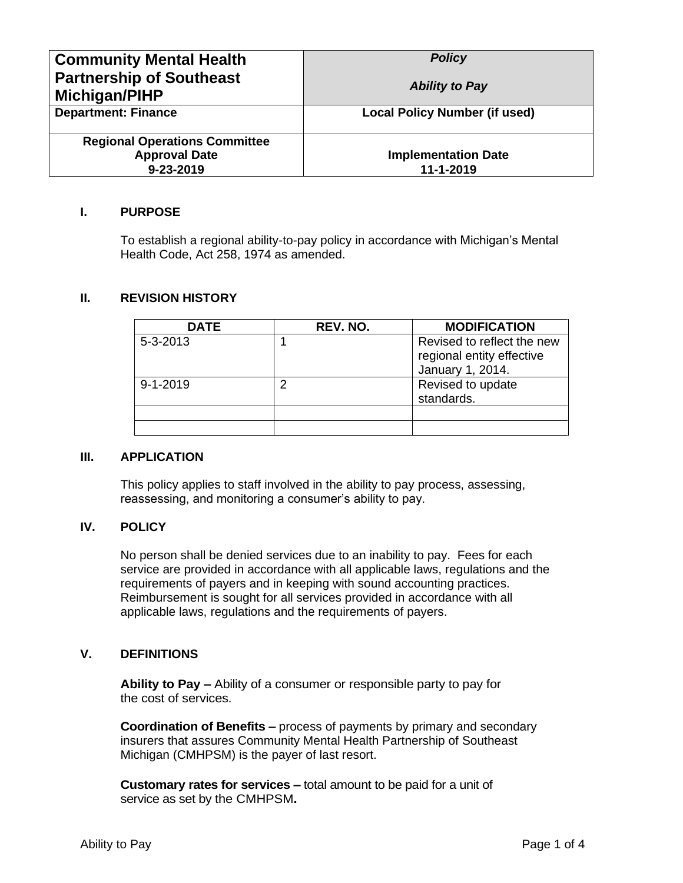| <b>Community Mental Health</b>                   | <b>Policy</b>                        |
|--------------------------------------------------|--------------------------------------|
| <b>Partnership of Southeast</b><br>Michigan/PIHP | <b>Ability to Pay</b>                |
| <b>Department: Finance</b>                       | <b>Local Policy Number (if used)</b> |
| <b>Regional Operations Committee</b>             |                                      |
| <b>Approval Date</b>                             | <b>Implementation Date</b>           |
| $9 - 23 - 2019$                                  | 11-1-2019                            |

#### **I. PURPOSE**

To establish a regional ability-to-pay policy in accordance with Michigan's Mental Health Code, Act 258, 1974 as amended.

### **II. REVISION HISTORY**

| <b>DATE</b>    | REV. NO. | <b>MODIFICATION</b>                                                         |
|----------------|----------|-----------------------------------------------------------------------------|
| $5 - 3 - 2013$ |          | Revised to reflect the new<br>regional entity effective<br>January 1, 2014. |
| $9 - 1 - 2019$ |          | Revised to update<br>standards.                                             |
|                |          |                                                                             |
|                |          |                                                                             |

#### **III. APPLICATION**

This policy applies to staff involved in the ability to pay process, assessing, reassessing, and monitoring a consumer's ability to pay.

#### **IV. POLICY**

No person shall be denied services due to an inability to pay. Fees for each service are provided in accordance with all applicable laws, regulations and the requirements of payers and in keeping with sound accounting practices. Reimbursement is sought for all services provided in accordance with all applicable laws, regulations and the requirements of payers.

#### **V. DEFINITIONS**

**Ability to Pay –** Ability of a consumer or responsible party to pay for the cost of services.

**Coordination of Benefits –** process of payments by primary and secondary insurers that assures Community Mental Health Partnership of Southeast Michigan (CMHPSM) is the payer of last resort.

**Customary rates for services –** total amount to be paid for a unit of service as set by the CMHPSM**.**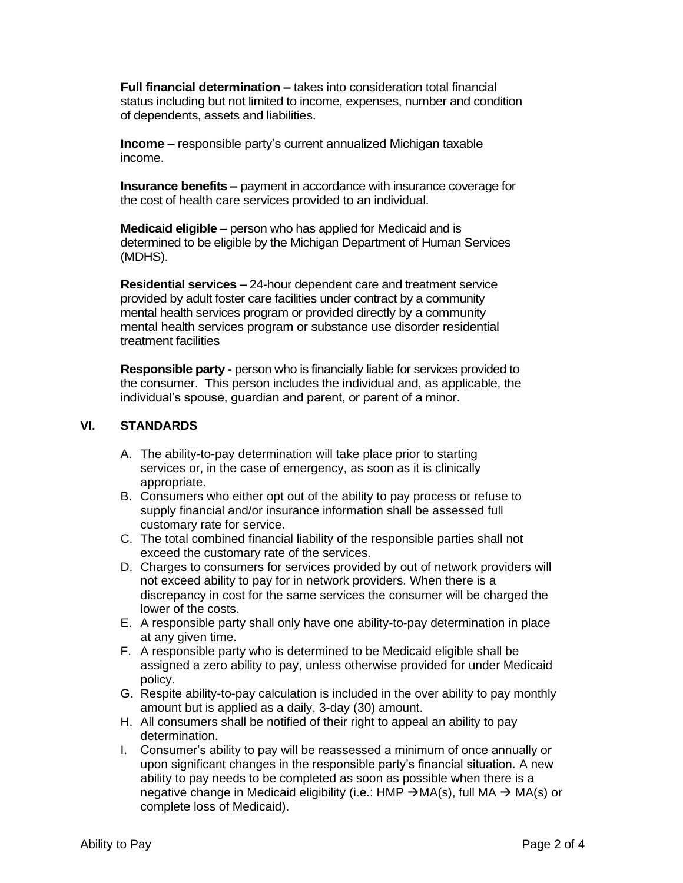**Full financial determination –** takes into consideration total financial status including but not limited to income, expenses, number and condition of dependents, assets and liabilities.

**Income –** responsible party's current annualized Michigan taxable income.

**Insurance benefits –** payment in accordance with insurance coverage for the cost of health care services provided to an individual.

**Medicaid eligible** – person who has applied for Medicaid and is determined to be eligible by the Michigan Department of Human Services (MDHS).

**Residential services –** 24-hour dependent care and treatment service provided by adult foster care facilities under contract by a community mental health services program or provided directly by a community mental health services program or substance use disorder residential treatment facilities

**Responsible party -** person who is financially liable for services provided to the consumer. This person includes the individual and, as applicable, the individual's spouse, guardian and parent, or parent of a minor.

### **VI. STANDARDS**

- A. The ability-to-pay determination will take place prior to starting services or, in the case of emergency, as soon as it is clinically appropriate.
- B. Consumers who either opt out of the ability to pay process or refuse to supply financial and/or insurance information shall be assessed full customary rate for service.
- C. The total combined financial liability of the responsible parties shall not exceed the customary rate of the services.
- D. Charges to consumers for services provided by out of network providers will not exceed ability to pay for in network providers. When there is a discrepancy in cost for the same services the consumer will be charged the lower of the costs.
- E. A responsible party shall only have one ability-to-pay determination in place at any given time.
- F. A responsible party who is determined to be Medicaid eligible shall be assigned a zero ability to pay, unless otherwise provided for under Medicaid policy.
- G. Respite ability-to-pay calculation is included in the over ability to pay monthly amount but is applied as a daily, 3-day (30) amount.
- H. All consumers shall be notified of their right to appeal an ability to pay determination.
- I. Consumer's ability to pay will be reassessed a minimum of once annually or upon significant changes in the responsible party's financial situation. A new ability to pay needs to be completed as soon as possible when there is a negative change in Medicaid eligibility (i.e.: HMP  $\rightarrow$  MA(s), full MA  $\rightarrow$  MA(s) or complete loss of Medicaid).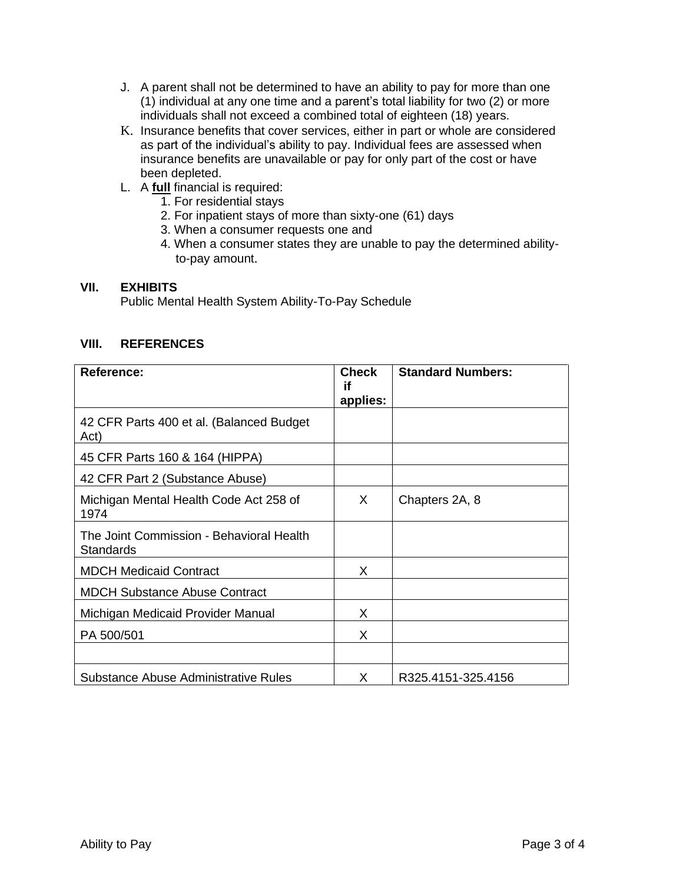- J. A parent shall not be determined to have an ability to pay for more than one (1) individual at any one time and a parent's total liability for two (2) or more individuals shall not exceed a combined total of eighteen (18) years.
- K. Insurance benefits that cover services, either in part or whole are considered as part of the individual's ability to pay. Individual fees are assessed when insurance benefits are unavailable or pay for only part of the cost or have been depleted.
- L. A **full** financial is required:
	- 1. For residential stays
	- 2. For inpatient stays of more than sixty-one (61) days
	- 3. When a consumer requests one and
	- 4. When a consumer states they are unable to pay the determined abilityto-pay amount.

### **VII. EXHIBITS**

Public Mental Health System Ability-To-Pay Schedule

### **VIII. REFERENCES**

| <b>Reference:</b>                                            | <b>Check</b><br>if | <b>Standard Numbers:</b> |
|--------------------------------------------------------------|--------------------|--------------------------|
|                                                              | applies:           |                          |
| 42 CFR Parts 400 et al. (Balanced Budget<br>Act)             |                    |                          |
| 45 CFR Parts 160 & 164 (HIPPA)                               |                    |                          |
| 42 CFR Part 2 (Substance Abuse)                              |                    |                          |
| Michigan Mental Health Code Act 258 of<br>1974               | X                  | Chapters 2A, 8           |
| The Joint Commission - Behavioral Health<br><b>Standards</b> |                    |                          |
| <b>MDCH Medicaid Contract</b>                                | X                  |                          |
| <b>MDCH Substance Abuse Contract</b>                         |                    |                          |
| Michigan Medicaid Provider Manual                            | X                  |                          |
| PA 500/501                                                   | X                  |                          |
|                                                              |                    |                          |
| Substance Abuse Administrative Rules                         | X.                 | R325.4151-325.4156       |